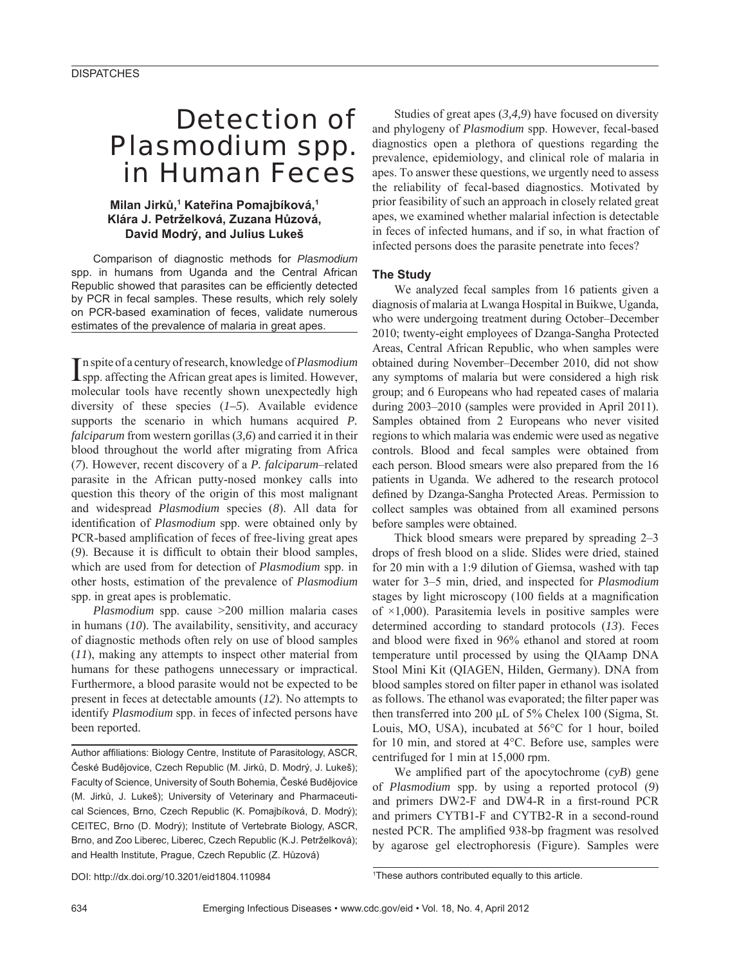# Detection of *Plasmodium* spp. in Human Feces

## **Milan Jirků, 1 Kateřina Pomajbíková,1 Klára J. Petrželková, Zuzana Hůzová, David Modrý, and Julius Lukeš**

Comparison of diagnostic methods for *Plasmodium* spp. in humans from Uganda and the Central African Republic showed that parasites can be efficiently detected by PCR in fecal samples. These results, which rely solely on PCR-based examination of feces, validate numerous estimates of the prevalence of malaria in great apes.

In spite of a century of research, knowledge of *Plasmodium*<br>Ispp. affecting the African great apes is limited. However, n spite of a century of research, knowledge of *Plasmodium* molecular tools have recently shown unexpectedly high diversity of these species (*1–5*). Available evidence supports the scenario in which humans acquired *P*. *falciparum* from western gorillas (*3,6*) and carried it in their blood throughout the world after migrating from Africa (*7*). However, recent discovery of a *P. falciparum*–related parasite in the African putty-nosed monkey calls into question this theory of the origin of this most malignant and widespread *Plasmodium* species (*8*). All data for identification of *Plasmodium* spp. were obtained only by PCR-based amplification of feces of free-living great apes (9). Because it is difficult to obtain their blood samples, which are used from for detection of *Plasmodium* spp. in other hosts, estimation of the prevalence of *Plasmodium* spp. in great apes is problematic.

*Plasmodium* spp. cause >200 million malaria cases in humans (*10*). The availability, sensitivity, and accuracy of diagnostic methods often rely on use of blood samples (*11*), making any attempts to inspect other material from humans for these pathogens unnecessary or impractical. Furthermore, a blood parasite would not be expected to be present in feces at detectable amounts (*12*). No attempts to identify *Plasmodium* spp. in feces of infected persons have been reported.

Author affiliations: Biology Centre, Institute of Parasitology, ASCR, České Budějovice, Czech Republic (M. Jirků, D. Modrý, J. Lukeš); Faculty of Science, University of South Bohemia, České Budějovice (M. Jirků, J. Lukeš); University of Veterinary and Pharmaceutical Sciences, Brno, Czech Republic (K. Pomajbíková, D. Modrý); CEITEC, Brno (D. Modrý); Institute of Vertebrate Biology, ASCR, Brno, and Zoo Liberec, Liberec, Czech Republic (K.J. Petrželková); and Health Institute, Prague, Czech Republic (Z. Hůzová)

Studies of great apes (*3,4,9*) have focused on diversity and phylogeny of *Plasmodium* spp. However, fecal-based diagnostics open a plethora of questions regarding the prevalence, epidemiology, and clinical role of malaria in apes. To answer these questions, we urgently need to assess the reliability of fecal-based diagnostics. Motivated by prior feasibility of such an approach in closely related great apes, we examined whether malarial infection is detectable in feces of infected humans, and if so, in what fraction of infected persons does the parasite penetrate into feces?

## **The Study**

We analyzed fecal samples from 16 patients given a diagnosis of malaria at Lwanga Hospital in Buikwe, Uganda, who were undergoing treatment during October–December 2010; twenty-eight employees of Dzanga-Sangha Protected Areas, Central African Republic, who when samples were obtained during November–December 2010, did not show any symptoms of malaria but were considered a high risk group; and 6 Europeans who had repeated cases of malaria during 2003–2010 (samples were provided in April 2011). Samples obtained from 2 Europeans who never visited regions to which malaria was endemic were used as negative controls. Blood and fecal samples were obtained from each person. Blood smears were also prepared from the 16 patients in Uganda. We adhered to the research protocol defined by Dzanga-Sangha Protected Areas. Permission to collect samples was obtained from all examined persons before samples were obtained.

Thick blood smears were prepared by spreading 2–3 drops of fresh blood on a slide. Slides were dried, stained for 20 min with a 1:9 dilution of Giemsa, washed with tap water for 3–5 min, dried, and inspected for *Plasmodium* stages by light microscopy (100 fields at a magnification of  $\times$ 1,000). Parasitemia levels in positive samples were determined according to standard protocols (*13*). Feces and blood were fixed in 96% ethanol and stored at room temperature until processed by using the QIAamp DNA Stool Mini Kit (QIAGEN, Hilden, Germany). DNA from blood samples stored on filter paper in ethanol was isolated as follows. The ethanol was evaporated; the filter paper was then transferred into 200 μL of 5% Chelex 100 (Sigma, St. Louis, MO, USA), incubated at 56°C for 1 hour, boiled for 10 min, and stored at 4°C. Before use, samples were centrifuged for 1 min at 15,000 rpm.

We amplified part of the apocytochrome  $(cvB)$  gene of *Plasmodium* spp. by using a reported protocol (*9*) and primers  $DW2-F$  and  $DW4-R$  in a first-round PCR and primers CYTB1-F and CYTB2-R in a second-round nested PCR. The amplified 938-bp fragment was resolved by agarose gel electrophoresis (Figure). Samples were

DOI: http://dx.doi.org/10.3201/eid1804.110984

<sup>1</sup> These authors contributed equally to this article.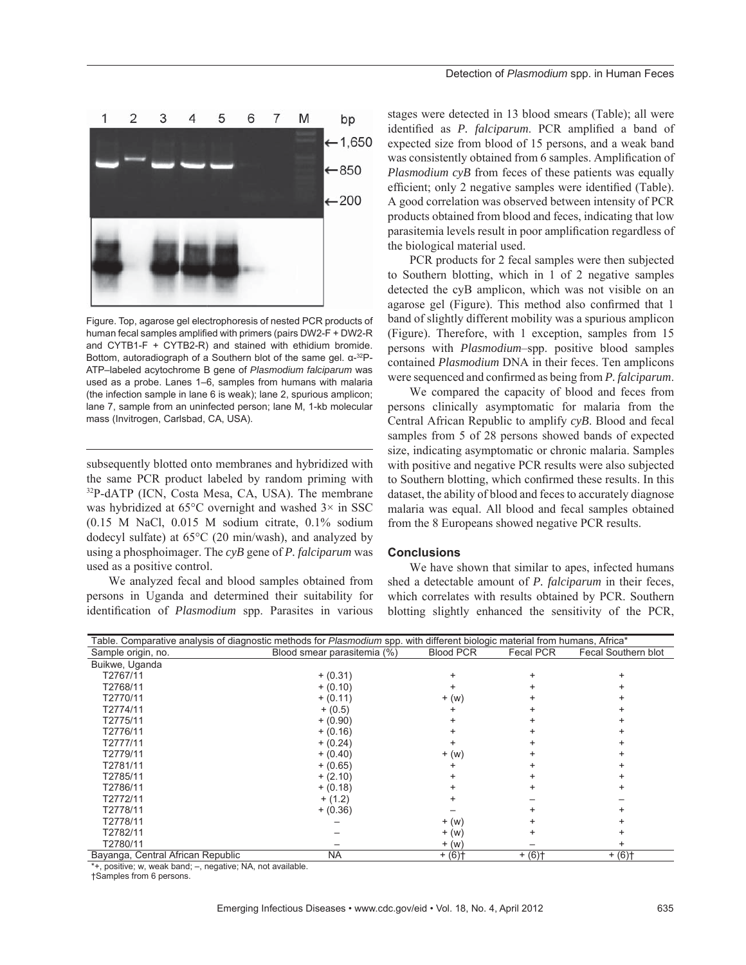

Figure. Top, agarose gel electrophoresis of nested PCR products of human fecal samples amplified with primers (pairs DW2-F + DW2-R and CYTB1-F + CYTB2-R) and stained with ethidium bromide. Bottom, autoradiograph of a Southern blot of the same gel. α-32P-ATP–labeled acytochrome B gene of *Plasmodium falciparum* was used as a probe. Lanes 1–6, samples from humans with malaria (the infection sample in lane 6 is weak); lane 2, spurious amplicon; lane 7, sample from an uninfected person; lane M, 1-kb molecular mass (Invitrogen, Carlsbad, CA, USA).

subsequently blotted onto membranes and hybridized with the same PCR product labeled by random priming with 32P-dATP (ICN, Costa Mesa, CA, USA). The membrane was hybridized at  $65^{\circ}$ C overnight and washed  $3\times$  in SSC (0.15 M NaCl, 0.015 M sodium citrate, 0.1% sodium dodecyl sulfate) at 65°C (20 min/wash), and analyzed by using a phosphoimager. The *cyB* gene of *P. falciparum* was used as a positive control.

We analyzed fecal and blood samples obtained from persons in Uganda and determined their suitability for identification of *Plasmodium* spp. Parasites in various

stages were detected in 13 blood smears (Table); all were identified as *P. falciparum*. PCR amplified a band of expected size from blood of 15 persons, and a weak band was consistently obtained from 6 samples. Amplification of *Plasmodium cyB* from feces of these patients was equally efficient; only 2 negative samples were identified (Table). A good correlation was observed between intensity of PCR products obtained from blood and feces, indicating that low parasitemia levels result in poor amplification regardless of the biological material used.

PCR products for 2 fecal samples were then subjected to Southern blotting, which in 1 of 2 negative samples detected the cyB amplicon, which was not visible on an agarose gel (Figure). This method also confirmed that 1 band of slightly different mobility was a spurious amplicon (Figure). Therefore, with 1 exception, samples from 15 persons with *Plasmodium*–spp. positive blood samples contained *Plasmodium* DNA in their feces. Ten amplicons were sequenced and confirmed as being from *P. falciparum*.

We compared the capacity of blood and feces from persons clinically asymptomatic for malaria from the Central African Republic to amplify *cyB*. Blood and fecal samples from 5 of 28 persons showed bands of expected size, indicating asymptomatic or chronic malaria. Samples with positive and negative PCR results were also subjected to Southern blotting, which confirmed these results. In this dataset, the ability of blood and feces to accurately diagnose malaria was equal. All blood and fecal samples obtained from the 8 Europeans showed negative PCR results.

#### **Conclusions**

We have shown that similar to apes, infected humans shed a detectable amount of *P. falciparum* in their feces, which correlates with results obtained by PCR. Southern blotting slightly enhanced the sensitivity of the PCR,

| Table. Comparative analysis of diagnostic methods for Plasmodium spp. with different biologic material from humans, Africa* |                             |                  |                      |                     |
|-----------------------------------------------------------------------------------------------------------------------------|-----------------------------|------------------|----------------------|---------------------|
| Sample origin, no.                                                                                                          | Blood smear parasitemia (%) | <b>Blood PCR</b> | Fecal PCR            | Fecal Southern blot |
| Buikwe, Uganda                                                                                                              |                             |                  |                      |                     |
| T2767/11                                                                                                                    | $+ (0.31)$                  |                  |                      |                     |
| T2768/11                                                                                                                    | $+ (0.10)$                  |                  |                      |                     |
| T2770/11                                                                                                                    | $+ (0.11)$                  | $+$ (w)          |                      |                     |
| T2774/11                                                                                                                    | $+ (0.5)$                   |                  |                      |                     |
| T2775/11                                                                                                                    | $+ (0.90)$                  |                  |                      |                     |
| T2776/11                                                                                                                    | $+ (0.16)$                  |                  |                      |                     |
| T2777/11                                                                                                                    | $+ (0.24)$                  |                  |                      |                     |
| T2779/11                                                                                                                    | $+ (0.40)$                  | $+$ (w)          |                      |                     |
| T2781/11                                                                                                                    | $+ (0.65)$                  |                  |                      |                     |
| T2785/11                                                                                                                    | $+ (2.10)$                  |                  |                      |                     |
| T2786/11                                                                                                                    | $+ (0.18)$                  |                  |                      |                     |
| T2772/11                                                                                                                    | $+ (1.2)$                   |                  |                      |                     |
| T2778/11                                                                                                                    | $+ (0.36)$                  |                  |                      |                     |
| T2778/11                                                                                                                    |                             | $+$ (W)          |                      |                     |
| T2782/11                                                                                                                    |                             | $+$ (W)          |                      |                     |
| T2780/11                                                                                                                    |                             | $+$ (W)          |                      |                     |
| Bayanga, Central African Republic                                                                                           | NA.                         | $+ (6)$          | $+ (6)$ <sup>+</sup> | $+ (6)$             |

\*+, positive; w, weak band; –, negative; NA, not available.

†Samples from 6 persons.